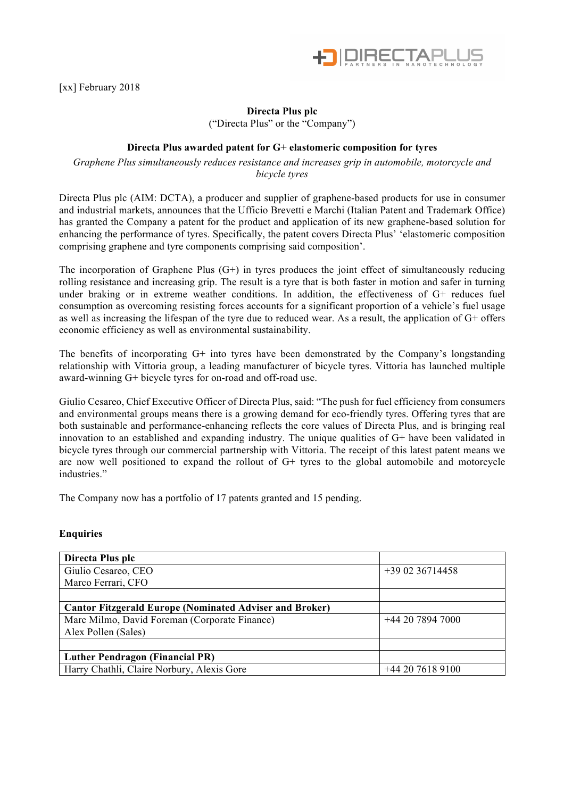

[xx] February 2018

## **Directa Plus plc**

("Directa Plus" or the "Company")

## **Directa Plus awarded patent for G+ elastomeric composition for tyres**

*Graphene Plus simultaneously reduces resistance and increases grip in automobile, motorcycle and bicycle tyres*

Directa Plus plc (AIM: DCTA), a producer and supplier of graphene-based products for use in consumer and industrial markets, announces that the Ufficio Brevetti e Marchi (Italian Patent and Trademark Office) has granted the Company a patent for the product and application of its new graphene-based solution for enhancing the performance of tyres. Specifically, the patent covers Directa Plus' 'elastomeric composition comprising graphene and tyre components comprising said composition'.

The incorporation of Graphene Plus  $(G+)$  in tyres produces the joint effect of simultaneously reducing rolling resistance and increasing grip. The result is a tyre that is both faster in motion and safer in turning under braking or in extreme weather conditions. In addition, the effectiveness of G+ reduces fuel consumption as overcoming resisting forces accounts for a significant proportion of a vehicle's fuel usage as well as increasing the lifespan of the tyre due to reduced wear. As a result, the application of G+ offers economic efficiency as well as environmental sustainability.

The benefits of incorporating G+ into tyres have been demonstrated by the Company's longstanding relationship with Vittoria group, a leading manufacturer of bicycle tyres. Vittoria has launched multiple award-winning G+ bicycle tyres for on-road and off-road use.

Giulio Cesareo, Chief Executive Officer of Directa Plus, said: "The push for fuel efficiency from consumers and environmental groups means there is a growing demand for eco-friendly tyres. Offering tyres that are both sustainable and performance-enhancing reflects the core values of Directa Plus, and is bringing real innovation to an established and expanding industry. The unique qualities of G+ have been validated in bicycle tyres through our commercial partnership with Vittoria. The receipt of this latest patent means we are now well positioned to expand the rollout of G+ tyres to the global automobile and motorcycle industries."

The Company now has a portfolio of 17 patents granted and 15 pending.

## **Enquiries**

| Directa Plus plc                                               |                 |
|----------------------------------------------------------------|-----------------|
| Giulio Cesareo, CEO                                            | $+390236714458$ |
| Marco Ferrari, CFO                                             |                 |
|                                                                |                 |
| <b>Cantor Fitzgerald Europe (Nominated Adviser and Broker)</b> |                 |
| Marc Milmo, David Foreman (Corporate Finance)                  | $+442078947000$ |
| Alex Pollen (Sales)                                            |                 |
|                                                                |                 |
| <b>Luther Pendragon (Financial PR)</b>                         |                 |
| Harry Chathli, Claire Norbury, Alexis Gore                     | $+442076189100$ |